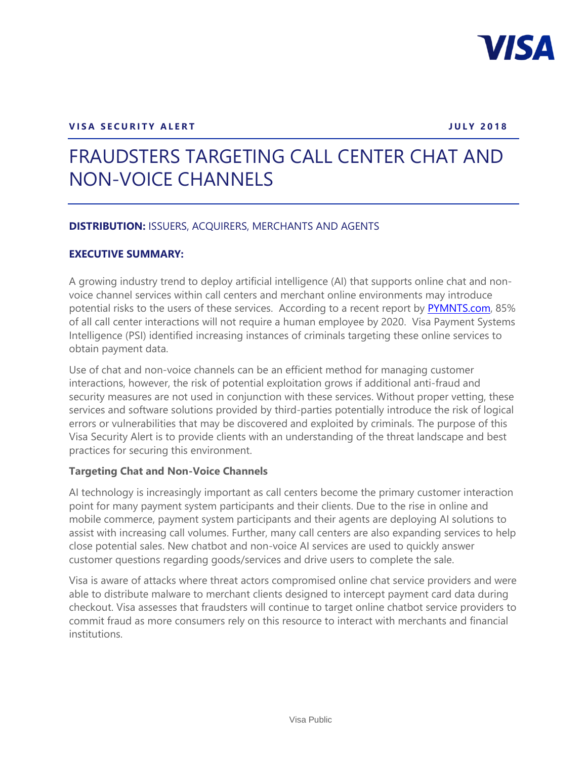

## **VISA SECURITY ALERT A SECURITY ALERT**

# FRAUDSTERS TARGETING CALL CENTER CHAT AND NON-VOICE CHANNELS

## **DISTRIBUTION:** ISSUERS, ACQUIRERS, MERCHANTS AND AGENTS

#### **EXECUTIVE SUMMARY:**

A growing industry trend to deploy artificial intelligence (AI) that supports online chat and nonvoice channel services within call centers and merchant online environments may introduce potential risks to the users of these services. According to a recent report by [PYMNTS.com,](https://www.pymnts.com/call-center-commerce/2018/ai-customer-service-security/) 85% of all call center interactions will not require a human employee by 2020. Visa Payment Systems Intelligence (PSI) identified increasing instances of criminals targeting these online services to obtain payment data.

Use of chat and non-voice channels can be an efficient method for managing customer interactions, however, the risk of potential exploitation grows if additional anti-fraud and security measures are not used in conjunction with these services. Without proper vetting, these services and software solutions provided by third-parties potentially introduce the risk of logical errors or vulnerabilities that may be discovered and exploited by criminals. The purpose of this Visa Security Alert is to provide clients with an understanding of the threat landscape and best practices for securing this environment.

## **Targeting Chat and Non-Voice Channels**

AI technology is increasingly important as call centers become the primary customer interaction point for many payment system participants and their clients. Due to the rise in online and mobile commerce, payment system participants and their agents are deploying AI solutions to assist with increasing call volumes. Further, many call centers are also expanding services to help close potential sales. New chatbot and non-voice AI services are used to quickly answer customer questions regarding goods/services and drive users to complete the sale.

Visa is aware of attacks where threat actors compromised online chat service providers and were able to distribute malware to merchant clients designed to intercept payment card data during checkout. Visa assesses that fraudsters will continue to target online chatbot service providers to commit fraud as more consumers rely on this resource to interact with merchants and financial institutions.